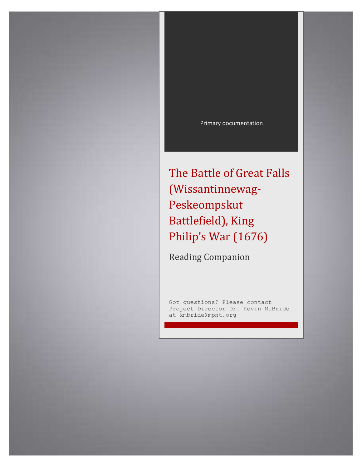

The Battle of Great Falls (Wissantinnewag-Peskeompskut Battlefield), King Philip's War (1676)

Reading Companion

Got questions? Please contact Project Director Dr. Kevin McBride at kmbride@mpnt.org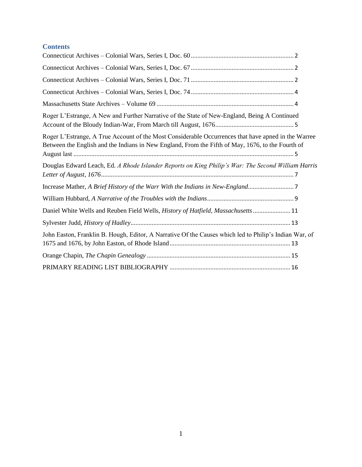# **Contents**

| Roger L'Estrange, A New and Further Narrative of the State of New-England, Being A Continued                                                                                                             |
|----------------------------------------------------------------------------------------------------------------------------------------------------------------------------------------------------------|
| Roger L'Estrange, A True Account of the Most Considerable Occurrences that have apned in the Warree<br>Between the English and the Indians in New England, From the Fifth of May, 1676, to the Fourth of |
| Douglas Edward Leach, Ed. A Rhode Islander Reports on King Philip's War: The Second William Harris                                                                                                       |
|                                                                                                                                                                                                          |
|                                                                                                                                                                                                          |
| Daniel White Wells and Reuben Field Wells, History of Hatfield, Massachusetts  11                                                                                                                        |
|                                                                                                                                                                                                          |
| John Easton, Franklin B. Hough, Editor, A Narrative Of the Causes which led to Philip's Indian War, of                                                                                                   |
|                                                                                                                                                                                                          |
|                                                                                                                                                                                                          |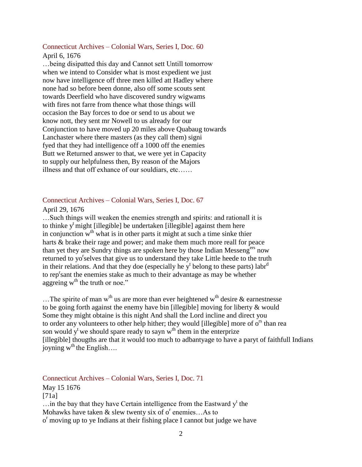# <span id="page-2-0"></span>Connecticut Archives – Colonial Wars, Series I, Doc. 60

## April 6, 1676

…being disipatted this day and Cannot sett Untill tomorrow when we intend to Consider what is most expedient we just now have intelligence off three men killed att Hadley where none had so before been donne, also off some scouts sent towards Deerfield who have discovered sundry wigwams with fires not farre from thence what those things will occasion the Bay forces to doe or send to us about we know nott, they sent mr Nowell to us already for our Conjunction to have moved up 20 miles above Quabaug towards Lanchaster where there masters (as they call them) signi fyed that they had intelligence off a 1000 off the enemies Butt we Returned answer to that, we were yet in Capacity to supply our helpfulness then, By reason of the Majors illness and that off exhance of our souldiars, etc……

## <span id="page-2-1"></span>Connecticut Archives – Colonial Wars, Series I, Doc. 67

## April 29, 1676

…Such things will weaken the enemies strength and spirits: and rationall it is to thinke  $y^t$  might [illegible] be undertaken [illegible] against them here in conjunction  $w<sup>th</sup>$  what is in other parts it might at such a time sinke thier harts & brake their rage and power; and make them much more reall for peace than yet they are Sundry things are spoken here by those Indian Messeng<sup>ers</sup> now returned to yo<sup>r</sup>selves that give us to understand they take Little heede to the truth in their relations. And that they doe (especially he  $y<sup>t</sup>$  belong to these parts) labr<sup>d</sup> to rep<sup>r</sup>sant the enemies stake as much to their advantage as may be whether aggreing  $w<sup>th</sup>$  the truth or noe."

... The spirite of man w<sup>th</sup> us are more than ever heightened w<sup>th</sup> desire & earnestnesse to be going forth against the enemy have bin [illegible] moving for liberty & would Some they might obtaine is this night And shall the Lord incline and direct you to order any volunteers to other help hither; they would [illegible] more of  $o^{rs}$  than rea son would  $y^t$  we should spare ready to sayn  $w^{th}$  them in the enterprize [illegible] thougths are that it would too much to adbantyage to have a paryt of faithfull Indians joyning  $w^{th}$  the English….

## <span id="page-2-2"></span>Connecticut Archives – Colonial Wars, Series I, Doc. 71

## May 15 1676  $[71a]$  $\ldots$  in the bay that they have Certain intelligence from the Eastward  $y<sup>t</sup>$  the Mohawks have taken  $\&$  slew twenty six of  $o^r$  enemies...As to o<sup>r</sup> moving up to ye Indians at their fishing place I cannot but judge we have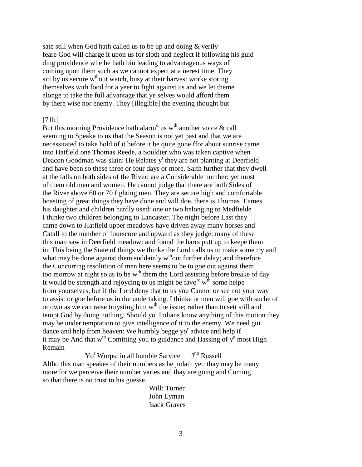sate still when God hath called us to be up and doing & verily feare God will charge it upon us for sloth and neglect if following his guid ding providence whe he hath bin leading to advantageous ways of coming upon them such as we cannot expect at a nerest time. They sitt by us secure  $w<sup>th</sup>$ out watch, busy at their harvest worke storing themselves with food for a yeer to fight against us and we let theme alonge to take the full advantage that ye selves would afford them by there wise nor enemy. They [illegible] the evening thought but

#### [71b]

But this morning Providence hath alarm<sup>d</sup> us w<sup>th</sup> another voice & call seeming to Speake to us that the Season is not yet past and that we are necessitated to take hold of it before it be quite gone ffor about sunrise came into Hatfield one Thomas Reede, a Souldier who was taken captive when Deacon Goodman was slain: He Relates  $y<sup>t</sup>$  they are not planting at Deerfield and have been so these three or four days or more. Saith further that they dwell at the falls on both sides of the River; are a Considerable number; yet most of them old men and women. He cannot judge that there are both Sides of the River above 60 or 70 fighting men. They are secure high and comfortable boasting of great things they have done and will doe. there is Thomas Eames his daughter and children hardly used: one or two belonging to Medfielde I thinke two children belonging to Lancaster. The night before Last they came down to Hatfield upper meadows have driven away many horses and Catall to the number of fourscore and upward as they judge: many of these this man saw in Deerfield meadow: and found the barrs putt up to keepe them in. This being the State of things we thinke the Lord calls us to make some try and what may be done against them suddainly  $w<sup>th</sup>$  out further delay; and therefore the Concurring resolution of men here seems to be to goe out against them too morrow at night so as to be  $w<sup>th</sup>$  them the Lord assisting before breake of day It would be strength and rejoycing to us might be favo<sup>rd</sup>  $\overline{w}^{\text{th}}$  some helpe from yourselves, but if the Lord deny that to us you Cannot or see not your way to assist or goe before us in the undertaking, I thinke or men will goe with suche of or own as we can raise truysting him w<sup>th</sup> the issue; rather than to sett still and tempt God by doing nothing. Should yo<sup>r</sup> Indians know anything of this motion they may be under temptation to give intelligence of it to the enemy. We need gui dance and help from heaven: We humbly begge yo<sup>r</sup> advice and help if it may be And that  $w<sup>th</sup>$  Comitting you to guidance and Hassing of  $y<sup>e</sup>$  most High Remain

Yo<sup>r</sup> Worps: in all humble Sarvice J<sup>no</sup> Russell Altho this man speakes of their numbers as he judath yet: thay may be many more for we perceive their number varies and thay are going and Coming so that there is no trust to his guesse.

> Will: Turner John Lyman Isack Graves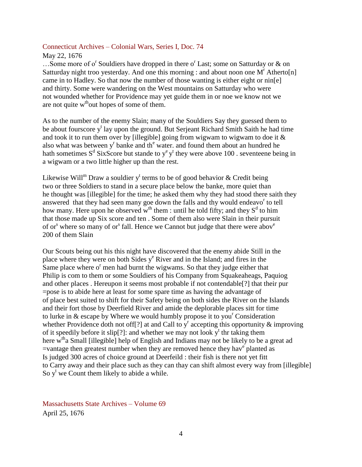#### <span id="page-4-0"></span>Connecticut Archives – Colonial Wars, Series I, Doc. 74

#### May 22, 1676

...Some more of o<sup>r</sup> Souldiers have dropped in there o<sup>r</sup> Last; some on Satturday or & on Satturday night troo yesterday. And one this morning : and about noon one  $M<sup>r</sup>$  Atherto[n] came in to Hadley. So that now the number of those wanting is either eight or nin[e] and thirty. Some were wandering on the West mountains on Satturday who were not wounded whether for Providence may yet guide them in or noe we know not we are not quite  $w<sup>th</sup>$  out hopes of some of them.

As to the number of the enemy Slain; many of the Souldiers Say they guessed them to be about fourscore y<sup>t</sup> lay upon the ground. But Serjeant Richard Smith Saith he had time and took it to run them over by [illegible] going from wigwam to wigwam to doe it  $\&$ also what was between  $y<sup>r</sup>$  banke and th<sup>e</sup> water. and found them about an hundred he hath sometimes  $S^d$  SixScore but stande to  $y^e y^t$  they were above 100 . seventeene being in a wigwam or a two little higher up than the rest.

Likewise Will<sup>m</sup> Draw a souldier y<sup>t</sup> terms to be of good behavior & Credit being two or three Soldiers to stand in a secure place below the banke, more quiet than he thought was [illegible] for the time; he asked them why they had stood there saith they answered that they had seen many goe down the falls and thy would endeavo<sup>r</sup> to tell how many. Here upon he observed w<sup>th</sup> them : until he told fifty; and they  $S<sup>d</sup>$  to him that those made up Six score and ten . Some of them also were Slain in their pursuit of or<sup>s</sup> where so many of or<sup>s</sup> fall. Hence we Cannot but judge that there were abov<sup>e</sup> 200 of them Slain

Our Scouts being out his this night have discovered that the enemy abide Still in the place where they were on both Sides  $y^e$  River and in the Island; and fires in the Same place where  $o<sup>r</sup>$  men had burnt the wigwams. So that they judge either that Philip is com to them or some Souldiers of his Company from Squakeaheags, Paquiog and other places . Hereupon it seems most probable if not contendable[?] that their pur =pose is to abide here at least for some spare time as having the advantage of of place best suited to shift for their Safety being on both sides the River on the Islands and their fort those by Deerfield River and amide the deplorable places sitt for time to lurke in  $\&$  escape by Where we would humbly propose it to you<sup>r</sup> Consideration whether Providence doth not off<sup>[?]</sup> at and Call to  $y<sup>r</sup>$  accepting this opportunity & improving of it speedily before it slip[?]: and whether we may not look  $y^t$  thr taking them here w<sup>th</sup>a Small [illegible] help of English and Indians may not be likely to be a great ad =vantage then greatest number when they are removed hence they have planted as Is judged 300 acres of choice ground at Deerfeild : their fish is there not yet fitt to Carry away and their place such as they can thay can shift almost every way from [illegible] So  $y^t$  we Count them likely to abide a while.

<span id="page-4-1"></span>Massachusetts State Archives – Volume 69 April 25, 1676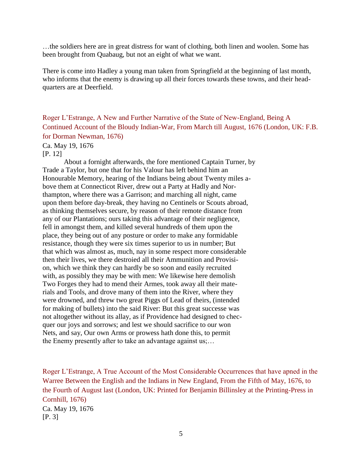…the soldiers here are in great distress for want of clothing, both linen and woolen. Some has been brought from Quabaug, but not an eight of what we want.

There is come into Hadley a young man taken from Springfield at the beginning of last month, who informs that the enemy is drawing up all their forces towards these towns, and their headquarters are at Deerfield.

<span id="page-5-0"></span>Roger L'Estrange, A New and Further Narrative of the State of New-England, Being A Continued Account of the Bloudy Indian-War, From March till August, 1676 (London, UK: F.B. for Dorman Newman, 1676)

# Ca. May 19, 1676

## [P. 12]

About a fornight afterwards, the fore mentioned Captain Turner, by Trade a Taylor, but one that for his Valour has left behind him an Honourable Memory, hearing of the Indians being about Twenty miles above them at Connecticot River, drew out a Party at Hadly and Northampton, where there was a Garrison; and marching all night, came upon them before day-break, they having no Centinels or Scouts abroad, as thinking themselves secure, by reason of their remote distance from any of our Plantations; ours taking this advantage of their negligence, fell in amongst them, and killed several hundreds of them upon the place, they being out of any posture or order to make any formidable resistance, though they were six times superior to us in number; But that which was almost as, much, nay in some respect more considerable then their lives, we there destroied all their Ammunition and Provision, which we think they can hardly be so soon and easily recruited with, as possibly they may be with men: We likewise here demolish Two Forges they had to mend their Armes, took away all their materials and Tools, and drove many of them into the River, where they were drowned, and threw two great Piggs of Lead of theirs, (intended for making of bullets) into the said River: But this great successe was not altogether without its allay, as if Providence had designed to checquer our joys and sorrows; and lest we should sacrifice to our won Nets, and say, Our own Arms or prowess hath done this, to permit the Enemy presently after to take an advantage against us;…

<span id="page-5-1"></span>Roger L'Estrange, A True Account of the Most Considerable Occurrences that have apned in the Warree Between the English and the Indians in New England, From the Fifth of May, 1676, to the Fourth of August last (London, UK: Printed for Benjamin Billinsley at the Printing-Press in Cornhill, 1676) Ca. May 19, 1676 [P. 3]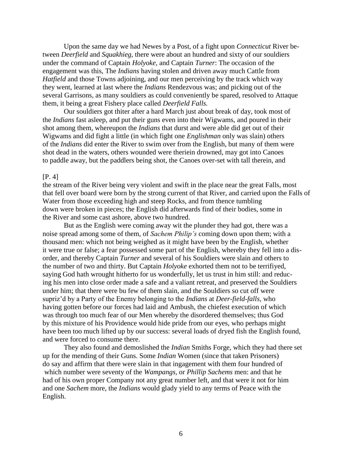Upon the same day we had Newes by a Post, of a fight upon *Connecticut* River between *Deerfield* and *Squakhieg,* there were about an hundred and sixty of our souldiers under the command of Captain *Holyoke,* and Captain *Turner*: The occasion of the engagement was this, The *Indians* having stolen and driven away much Cattle from *Hatfield* and those Towns adjoining, and our men perceiving by the track which way they went, learned at last where the *Indians* Rendezvous was; and picking out of the several Garrisons, as many souldiers as could conveniently be spared, resolved to Attaque them, it being a great Fishery place called *Deerfield Falls.*

Our souldiers got thiter after a hard March just about break of day, took most of the *Indians* fast asleep, and put their guns even into their Wigwams, and poured in their shot among them, whereupon the *Indians* that durst and were able did get out of their Wigwams and did fight a little (in which fight one *Englishman* only was slain) others of the *Indians* did enter the River to swim over from the English, but many of them were shot dead in the waters, others wounded were theriein drowned, may got into Canoes to paddle away, but the paddlers being shot, the Canoes over-set with tall therein, and

#### [P. 4]

the stream of the River being very violent and swift in the place near the great Falls, most that fell over board were born by the strong current of that River, and carried upon the Falls of Water from those exceeding high and steep Rocks, and from thence tumbling down were broken in pieces; the English did afterwards find of their bodies, some in the River and some cast ashore, above two hundred.

But as the English were coming away wit the plunder they had got, there was a noise spread among some of them, of *Sachem Philip's* coming down upon them; with a thousand men: which not being weighed as it might have been by the English, whether it were true or false; a fear possessed some part of the English, whereby they fell into a disorder, and thereby Captain *Turner* and several of his Souldiers were slain and others to the number of two and thirty. But Captain *Holyoke* exhorted them not to be terrifiyed, saying God hath wrought hitherto for us wonderfully, let us trust in him still: and reducing his men into close order made a safe and a valiant retreat, and preserved the Souldiers under him; that there were bu few of them slain, and the Souldiers so cut off were supriz'd by a Party of the Enemy belonging to the *Indians* at *Deer-field-falls,* who having gotten before our forces had laid and Ambush, the chiefest execution of which was through too much fear of our Men whereby the disordered themselves; thus God by this mixture of his Providence would hide pride from our eyes, who perhaps might have been too much lifted up by our success: several loads of dryed fish the English found, and were forced to consume there.

They also found and demoslished the *Indian* Smiths Forge, which they had there set up for the mending of their Guns. Some *Indian* Women (since that taken Prisoners) do say and affirm that there were slain in that ingagement with them four hundred of which number were seventy of the *Wampangs,* or *Phillip Sachems* men: and that he had of his own proper Company not any great number left, and that were it not for him and one *Sachem* more, the *Indians* would glady yield to any terms of Peace with the English.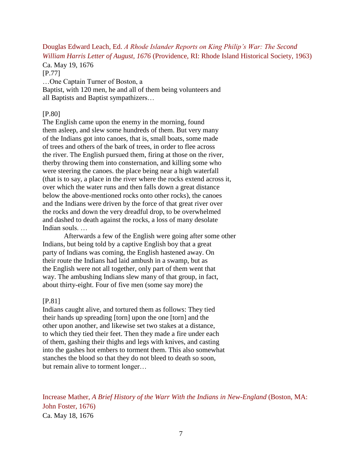# <span id="page-7-0"></span>Douglas Edward Leach, Ed. *A Rhode Islander Reports on King Philip's War: The Second William Harris Letter of August, 1676* (Providence, RI: Rhode Island Historical Society, 1963)

Ca. May 19, 1676

[P.77]

…One Captain Turner of Boston, a

Baptist, with 120 men, he and all of them being volunteers and all Baptists and Baptist sympathizers…

## [P.80]

The English came upon the enemy in the morning, found them asleep, and slew some hundreds of them. But very many of the Indians got into canoes, that is, small boats, some made of trees and others of the bark of trees, in order to flee across the river. The English pursued them, firing at those on the river, therby throwing them into consternation, and killing some who were steering the canoes. the place being near a high waterfall (that is to say, a place in the river where the rocks extend across it, over which the water runs and then falls down a great distance below the above-mentioned rocks onto other rocks), the canoes and the Indians were driven by the force of that great river over the rocks and down the very dreadful drop, to be overwhelmed and dashed to death against the rocks, a loss of many desolate Indian souls. …

Afterwards a few of the English were going after some other Indians, but being told by a captive English boy that a great party of Indians was coming, the English hastened away. On their route the Indians had laid ambush in a swamp, but as the English were not all together, only part of them went that way. The ambushing Indians slew many of that group, in fact, about thirty-eight. Four of five men (some say more) the

## [P.81]

Indians caught alive, and tortured them as follows: They tied their hands up spreading [torn] upon the one [torn] and the other upon another, and likewise set two stakes at a distance, to which they tied their feet. Then they made a fire under each of them, gashing their thighs and legs with knives, and casting into the gashes hot embers to torment them. This also somewhat stanches the blood so that they do not bleed to death so soon, but remain alive to torment longer…

<span id="page-7-1"></span>Increase Mather, *A Brief History of the Warr With the Indians in New-England* (Boston, MA: John Foster, 1676) Ca. May 18, 1676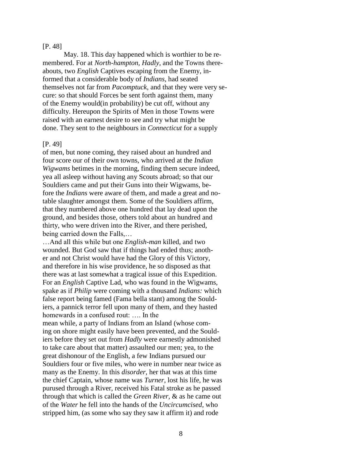#### [P. 48]

May. 18. This day happened which is worthier to be remembered. For at *North-hampton, Hadly,* and the Towns thereabouts, two *English* Captives escaping from the Enemy, informed that a considerable body of *Indians,* had seated themselves not far from *Pacomptuck,* and that they were very secure: so that should Forces be sent forth against them, many of the Enemy would(in probability) be cut off, without any difficulty. Hereupon the Spirits of Men in those Towns were raised with an earnest desire to see and try what might be done. They sent to the neighbours in *Connecticut* for a supply

### [P. 49]

of men, but none coming, they raised about an hundred and four score our of their own towns, who arrived at the *Indian Wigwams* betimes in the morning, finding them secure indeed, yea all asleep without having any Scouts abroad; so that our Souldiers came and put their Guns into their Wigwams, before the *Indians* were aware of them, and made a great and notable slaughter amongst them. Some of the Souldiers affirm, that they numbered above one hundred that lay dead upon the ground, and besides those, others told about an hundred and thirty, who were driven into the River, and there perished, being carried down the Falls,…

…And all this while but one *English-man* killed, and two wounded. But God saw that if things had ended thus; another and not Christ would have had the Glory of this Victory, and therefore in his wise providence, he so disposed as that there was at last somewhat a tragical issue of this Expedition. For an *English* Captive Lad, who was found in the Wigwams, spake as if *Philip* were coming with a thousand *Indians:* which false report being famed (Fama bella stant) among the Souldiers, a pannick terror fell upon many of them, and they hasted homewards in a confused rout: …. In the

mean while, a party of Indians from an Island (whose coming on shore might easily have been prevented, and the Souldiers before they set out from *Hadly* were earnestly admonished to take care about that matter) assaulted our men; yea, to the great dishonour of the English, a few Indians pursued our Souldiers four or five miles, who were in number near twice as many as the Enemy. In this *disorder,* her that was at this time the chief Captain, whose name was *Turner,* lost his life, he was purused through a River, received his Fatal stroke as he passed through that which is called the *Green River,* & as he came out of the *Water* he fell into the hands of the *Uncircumcised,* who stripped him, (as some who say they saw it affirm it) and rode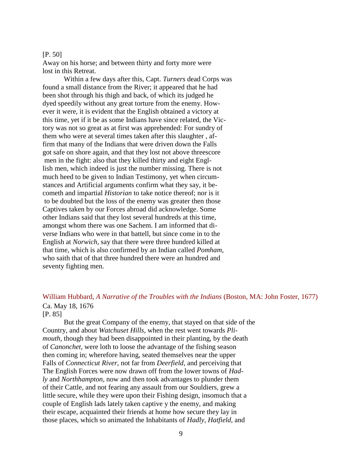#### [P. 50]

Away on his horse; and between thirty and forty more were lost in this Retreat.

Within a few days after this, Capt. *Turners* dead Corps was found a small distance from the River; it appeared that he had been shot through his thigh and back, of which its judged he dyed speedily without any great torture from the enemy. However it were, it is evident that the English obtained a victory at this time, yet if it be as some Indians have since related, the Victory was not so great as at first was apprehended: For sundry of them who were at several times taken after this slaughter , affirm that many of the Indians that were driven down the Falls got safe on shore again, and that they lost not above threescore men in the fight: also that they killed thirty and eight Engllish men, which indeed is just the number missing. There is not much heed to be given to Indian Testimony, yet when circumstances and Artificial arguments confirm what they say, it becometh and impartial *Historian* to take notice thereof; nor is it to be doubted but the loss of the enemy was greater then those Captives taken by our Forces abroad did acknowledge. Some other Indians said that they lost several hundreds at this time, amongst whom there was one Sachem. I am informed that diverse Indians who were in that battell, but since come in to the English at *Norwich,* say that there were three hundred killed at that time, which is also confirmed by an Indian called *Pomham,*  who saith that of that three hundred there were an hundred and seventy fighting men.

## <span id="page-9-0"></span>William Hubbard, *A Narrative of the Troubles with the Indians* (Boston, MA: John Foster, 1677) Ca. May 18, 1676

[P. 85]

But the great Company of the enemy, that stayed on that side of the Country, and about *Watchuset Hills,* when the rest went towards *Plimouth*, though they had been disappointed in their planting, by the death of *Canonchet,* were loth to loose the advantage of the fishing season then coming in; wherefore having, seated themselves near the upper Falls of *Connecticut River,* not far from *Deerfield*, and perceiving that The English Forces were now drawn off from the lower towns of *Hadly* and *Northhampton,* now and then took advantages to plunder them of their Cattle, and not fearing any assault from our Souldiers, grew a little secure, while they were upon their Fishing design, insomuch that a couple of English lads lately taken captive y the enemy, and making their escape, acquainted their friends at home how secure they lay in those places, which so animated the Inhabitants of *Hadly, Hatfield,* and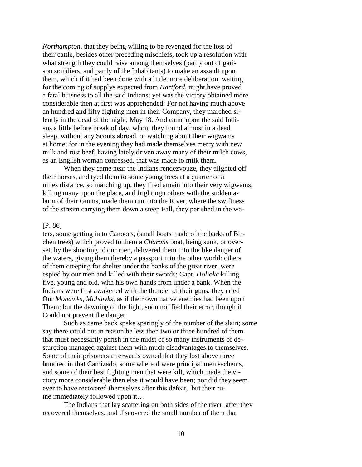*Northampton,* that they being willing to be revenged for the loss of their cattle, besides other preceding mischiefs, took up a resolution with what strength they could raise among themselves (partly out of garison souldiers, and partly of the Inhabitants) to make an assault upon them, which if it had been done with a little more deliberation, waiting for the coming of supplys expected from *Hartford,* might have proved a fatal buisness to all the said Indians; yet was the victory obtained more considerable then at first was apprehended: For not having much above an hundred and fifty fighting men in their Company, they marched silently in the dead of the night, May 18. And came upon the said Indians a little before break of day, whom they found almost in a dead sleep, without any Scouts abroad, or watching about their wigwams at home; for in the evening they had made themselves merry with new milk and rost beef, having lately driven away many of their milch cows, as an English woman confessed, that was made to milk them.

When they came near the Indians rendezvouze, they alighted off their horses, and tyed them to some young trees at a quarter of a miles distance, so marching up, they fired amain into their very wigwams, killing many upon the place, and frightingn others with the sudden alarm of their Gunns, made them run into the River, where the swiftness of the stream carrying them down a steep Fall, they perished in the wa-

#### [P. 86]

ters, some getting in to Canooes, (small boats made of the barks of Birchen trees) which proved to them a *Charons* boat, being sunk, or overset, by the shooting of our men, delivered them into the like danger of the waters, giving them thereby a passport into the other world: others of them creeping for shelter under the banks of the great river, were espied by our men and killed with their swords; Capt. *Holioke* killing five, young and old, with his own hands from under a bank. When the Indians were first awakened with the thunder of their guns, they cried Our *Mohawks, Mohawks,* as if their own native enemies had been upon Them; but the dawning of the light, soon notified their error, though it Could not prevent the danger.

Such as came back spake sparingly of the number of the slain; some say there could not in reason be less then two or three hundred of them that must necessarily perish in the midst of so many instruments of desturction managed against them with much disadvantages to themselves. Some of their prisoners afterwards owned that they lost above three hundred in that Camizado, some whereof were principal men sachems, and some of their best fighting men that were kilt, which made the victory more considerable then else it would have been; nor did they seem ever to have recovered themselves after this defeat, but their ruine immediately followed upon it…

The Indians that lay scattering on both sides of the river, after they recovered themselves, and discovered the small number of them that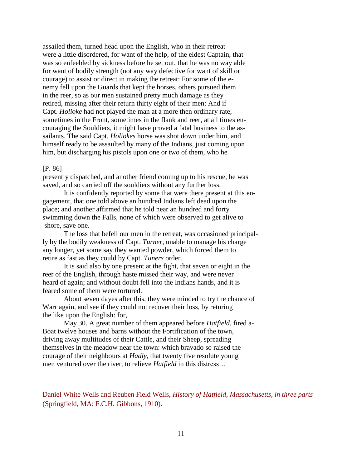assailed them, turned head upon the English, who in their retreat were a little disordered, for want of the help, of the eldest Captain, that was so enfeebled by sickness before he set out, that he was no way able for want of bodily strength (not any way defective for want of skill or courage) to assist or direct in making the retreat: For some of the enemy fell upon the Guards that kept the horses, others pursued them in the reer, so as our men sustained pretty much damage as they retired, missing after their return thirty eight of their men: And if Capt. *Holioke* had not played the man at a more then ordinary rate, sometimes in the Front, sometimes in the flank and reer, at all times encouraging the Souldiers, it might have proved a fatal business to the assailants. The said Capt. *Holiokes* horse was shot down under him, and himself ready to be assaulted by many of the Indians, just coming upon him, but discharging his pistols upon one or two of them, who he

#### [P. 86]

presently dispatched, and another friend coming up to his rescue, he was saved, and so carried off the souldiers without any further loss.

It is confidently reported by some that were there present at this engagement, that one told above an hundred Indians left dead upon the place; and another affirmed that he told near an hundred and forty swimming down the Falls, none of which were observed to get alive to shore, save one.

The loss that befell our men in the retreat, was occasioned principally by the bodily weakness of Capt. *Turner,* unable to manage his charge any longer, yet some say they wanted powder, which forced them to retire as fast as they could by Capt. *Tuners* order.

It is said also by one present at the fight, that seven or eight in the reer of the English, through haste missed their way, and were never heard of again; and without doubt fell into the Indians hands, and it is feared some of them were tortured.

About seven dayes after this, they were minded to try the chance of Warr again, and see if they could not recover their loss, by returing the like upon the English: for,

May 30. A great number of them appeared before *Hatfield*, fired a-Boat twelve houses and barns without the Fortification of the town, driving away multitudes of their Cattle, and their Sheep, spreading themselves in the meadow near the town: which bravado so raised the courage of their neighbours at *Hadly*, that twenty five resolute young men ventured over the river, to relieve *Hatfield* in this distress…

<span id="page-11-0"></span>Daniel White Wells and Reuben Field Wells, *History of Hatfield, Massachusetts, in three parts*  (Springfield, MA: F.C.H. Gibbons, 1910).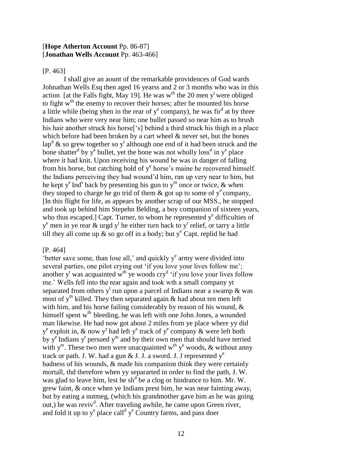## [**Hope Atherton Account** Pp. 86-87] [**Jonathan Wells Account** Pp. 463-466]

[P. 463]

I shall give an aount of the remarkable providences of God wards Johnathan Wells Esq then aged 16 yearss and 2 or 3 months who was in this action [at the Falls fight, May 19]. He was w<sup>th</sup> the 20 men y<sup>t</sup> were obliged to fight w<sup>th</sup> the enemy to recover their horses; after he mounted his horse a little while (being yhen in the rear of  $y^e$  company), he was fir<sup>d</sup> at by three Indians who were very near him; one bullet passed so near him as to brush his hair another struck his horse<sup>['s]</sup> behind a third struck his thigh in a place which before had been broken by a cart wheel & never set, but the bones lap<sup>d</sup> & so grew together so y<sup>t</sup> although one end of it had been struck and the bone shatter<sup>d</sup> by y<sup>e</sup> bullet, yet the bone was not wholly loss<sup>d</sup> in y<sup>e</sup> place where it had knit. Upon receiving his wound he was in danger of falling from his horse, but catching hold of y<sup>e</sup> horse's maine he recovered himself. the Indians perceiving they had wound'd him, ran up very near to him, but he kept y<sup>e</sup> Ind<sup>s</sup> back by presenting his gun to y<sup>m</sup> once or twice, & when they stoped to charge he go trid of them  $\&$  got up to some of  $y^e$  company, [In this flight for life, as appears by another scrap of our MSS., he stopped and took up behind him Stepehn Belding, a boy companion of sixteen years, who thus escaped.] Capt. Turner, to whom he represented  $y^e$  difficulties of  $y^e$  men in ye rear  $\&$  urgd  $y^t$  he either turn back to  $y^r$  relief, or tarry a little till they all come up  $\&$  so go off in a body; but  $y^e$  Capt. replid he had

## [P. 464]

 $\epsilon$  better save some, than lose all,' and quickly  $y^e$  army were divided into several parties, one pilot crying out 'if you love your lives follow me'; another  $y^t$  was acquainted w<sup>th</sup> ye woods cry<sup>d</sup> 'if you love your lives follow me.' Wells fell into the rear again and took wth a small company yt separated from others  $y^t$  run upon a parcel of Indians near a swamp & was most of  $y^m$  killed. They then separated again & had about ten men left with him, and his horse failing considerably by reason of his wound, & himself spent w<sup>th</sup> bleeding, he was left with one John Jones, a wounded man likewise. He had now got about 2 miles from ye place where yy did  $y^e$  exploit in, & now y<sup>y</sup> had left y<sup>e</sup> track of y<sup>e</sup> company & were left both by  $y^e$  Indians  $y^t$  persued  $y^m$  and by their own men that should have terried with  $y^m$ . These two men were unacquainted w<sup>th</sup>  $y^e$  woods, & without anny track or path. J. W. had a gun & J. J. a sword. J. J represented  $y^e$ badness of his wounds, & made his companion think they were certainly mortall, thd therefore when yy separarted in order to find the path, J. W. was glad to leave him, lest he sh<sup>d</sup> be a clog or hindrance to him. Mr. W. grew faint, & once when ye Indians prest him, he was near fainting away, but by eating a nutmeg, (which his grandmother gave him as he was going out,) he was reviv<sup>d</sup>. After traveling awhile, he came upon Green river, and fold it up to  $y^e$  place call<sup>d</sup>  $y^e$  Country farms, and pass doer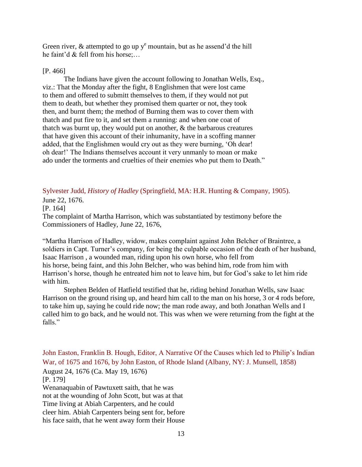Green river,  $\&$  attempted to go up  $y^e$  mountain, but as he assend'd the hill he faint'd & fell from his horse;…

## [P. 466]

The Indians have given the account following to Jonathan Wells, Esq., viz.: That the Monday after the fight, 8 Englishmen that were lost came to them and offered to submitt themselves to them, if they would not put them to death, but whether they promised them quarter or not, they took then, and burnt them; the method of Burning them was to cover them with thatch and put fire to it, and set them a running: and when one coat of thatch was burnt up, they would put on another, & the barbarous creatures that have given this account of their inhumanity, have in a scoffing manner added, that the Englishmen would cry out as they were burning, 'Oh dear! oh dear!' The Indians themselves account it very unmanly to moan or make ado under the torments and cruelties of their enemies who put them to Death."

<span id="page-13-0"></span>Sylvester Judd, *History of Hadley* (Springfield, MA: H.R. Hunting & Company, 1905).

June 22, 1676.

[P. 164]

The complaint of Martha Harrison, which was substantiated by testimony before the Commissioners of Hadley, June 22, 1676,

"Martha Harrison of Hadley, widow, makes complaint against John Belcher of Braintree, a soldiers in Capt. Turner's company, for being the culpable occasion of the death of her husband, Isaac Harrison , a wounded man, riding upon his own horse, who fell from his horse, being faint, and this John Belcher, who was behind him, rode from him with Harrison's horse, though he entreated him not to leave him, but for God's sake to let him ride with him.

Stephen Belden of Hatfield testified that he, riding behind Jonathan Wells, saw Isaac Harrison on the ground rising up, and heard him call to the man on his horse, 3 or 4 rods before, to take him up, saying he could ride now; the man rode away, and both Jonathan Wells and I called him to go back, and he would not. This was when we were returning from the fight at the falls"

<span id="page-13-1"></span>John Easton, Franklin B. Hough, Editor, A Narrative Of the Causes which led to Philip's Indian War, of 1675 and 1676, by John Easton, of Rhode Island (Albany, NY: J. Munsell, 1858) August 24, 1676 (Ca. May 19, 1676) [P. 179] Wenanaquabin of Pawtuxett saith, that he was not at the wounding of John Scott, but was at that Time living at Abiah Carpenters, and he could cleer him. Abiah Carpenters being sent for, before his face saith, that he went away form their House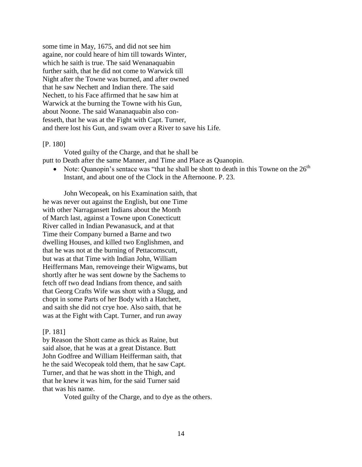some time in May, 1675, and did not see him againe, nor could heare of him till towards Winter, which he saith is true. The said Wenanaquabin further saith, that he did not come to Warwick till Night after the Towne was burned, and after owned that he saw Nechett and Indian there. The said Nechett, to his Face affirmed that he saw him at Warwick at the burning the Towne with his Gun, about Noone. The said Wananaquabin also confesseth, that he was at the Fight with Capt. Turner, and there lost his Gun, and swam over a River to save his Life.

#### [P. 180]

Voted guilty of the Charge, and that he shall be putt to Death after the same Manner, and Time and Place as Quanopin.

• Note: Quanopin's sentace was "that he shall be shott to death in this Towne on the  $26<sup>th</sup>$ Instant, and about one of the Clock in the Afternoone. P. 23.

John Wecopeak, on his Examination saith, that he was never out against the English, but one Time with other Narragansett Indians about the Month of March last, against a Towne upon Conecticutt River called in Indian Pewanasuck, and at that Time their Company burned a Barne and two dwelling Houses, and killed two Englishmen, and that he was not at the burning of Pettacomscutt, but was at that Time with Indian John, William Heiffermans Man, removeinge their Wigwams, but shortly after he was sent downe by the Sachems to fetch off two dead Indians from thence, and saith that Georg Crafts Wife was shott with a Slugg, and chopt in some Parts of her Body with a Hatchett, and saith she did not crye hoe. Also saith, that he was at the Fight with Capt. Turner, and run away

#### [P. 181]

by Reason the Shott came as thick as Raine, but said alsoe, that he was at a great Distance. Butt John Godfree and William Heifferman saith, that he the said Wecopeak told them, that he saw Capt. Turner, and that he was shott in the Thigh, and that he knew it was him, for the said Turner said that was his name.

Voted guilty of the Charge, and to dye as the others.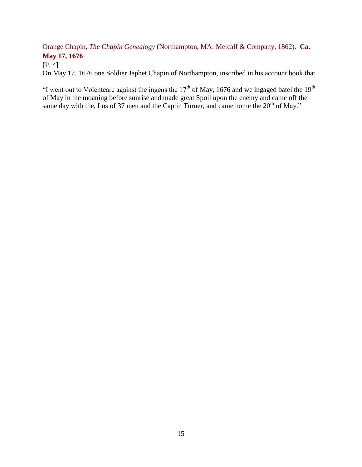<span id="page-15-0"></span>Orange Chapin, *The Chapin Genealogy* (Northampton, MA: Metcalf & Company, 1862). **Ca. May 17, 1676**

[P. 4]

On May 17, 1676 one Soldier Japhet Chapin of Northampton, inscribed in his account book that

<span id="page-15-1"></span>"I went out to Volenteare against the ingens the  $17<sup>th</sup>$  of May, 1676 and we ingaged batel the  $19<sup>th</sup>$ of May in the moaning before sunrise and made great Spoil upon the enemy and came off the same day with the, Los of 37 men and the Captin Turner, and came home the  $20<sup>th</sup>$  of May."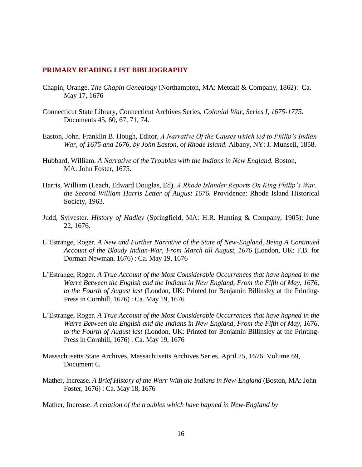#### **PRIMARY READING LIST BIBLIOGRAPHY**

- Chapin, Orange. *The Chapin Genealogy* (Northampton, MA: Metcalf & Company, 1862): Ca. May 17, 1676
- Connecticut State Library, Connecticut Archives Series, *Colonial War, Series I, 1675-1775.*  Documents 45, 60, 67, 71, 74.
- Easton, John. Franklin B. Hough, Editor, *A Narrative Of the Causes which led to Philip's Indian War, of 1675 and 1676, by John Easton, of Rhode Island.* Albany, NY: J. Munsell, 1858.
- Hubbard, William. *A Narrative of the Troubles with the Indians in New England.* Boston, MA: John Foster, 1675.
- Harris, William (Leach, Edward Douglas, Ed). *A Rhode Islander Reports On King Philip's War, the Second William Harris Letter of August 1676.* Providence: Rhode Island Historical Society, 1963.
- Judd, Sylvester. *History of Hadley* (Springfield, MA: H.R. Hunting & Company, 1905): June 22, 1676.
- L'Estrange, Roger. *A New and Further Narrative of the State of New-England, Being A Continued Account of the Bloudy Indian-War, From March till August, 1676* (London, UK: F.B. for Dorman Newman, 1676) : Ca. May 19, 1676
- L'Estrange, Roger. *A True Account of the Most Considerable Occurrences that have hapned in the Warre Between the English and the Indians in New England, From the Fifth of May, 1676, to the Fourth of August last* (London, UK: Printed for Benjamin Billinsley at the Printing-Press in Cornhill, 1676) : Ca. May 19, 1676
- L'Estrange, Roger. *A True Account of the Most Considerable Occurrences that have hapned in the Warre Between the English and the Indians in New England, From the Fifth of May, 1676, to the Fourth of August last* (London, UK: Printed for Benjamin Billinsley at the Printing-Press in Cornhill, 1676) : Ca. May 19, 1676
- Massachusetts State Archives, Massachusetts Archives Series. April 25, 1676. Volume 69, Document 6.
- Mather, Increase. *A Brief History of the Warr With the Indians in New-England* (Boston, MA: John Foster, 1676) : Ca. May 18, 1676
- Mather, Increase. *A relation of the troubles which have hapned in New-England by*